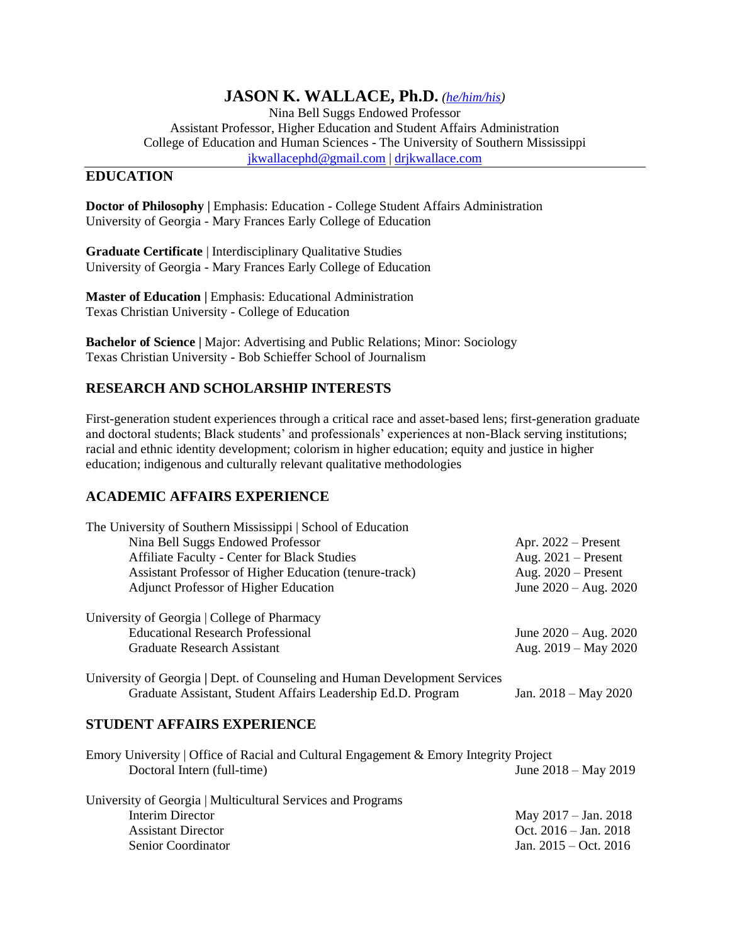# **JASON K. WALLACE, Ph.D.** *[\(he/him/his\)](https://www.mypronouns.org/what-and-why)*

Nina Bell Suggs Endowed Professor Assistant Professor, Higher Education and Student Affairs Administration College of Education and Human Sciences - The University of Southern Mississippi [jkwallacephd@gmail.com](mailto:jkwallacephd@gmail.com) | [drjkwallace.com](https://www.drjkwallace.com/)

# **EDUCATION**

**Doctor of Philosophy** | Emphasis: Education - College Student Affairs Administration University of Georgia - Mary Frances Early College of Education

**Graduate Certificate** | Interdisciplinary Qualitative Studies University of Georgia - Mary Frances Early College of Education

**Master of Education** | Emphasis: Educational Administration Texas Christian University - College of Education

**Bachelor of Science |** Major: Advertising and Public Relations; Minor: Sociology Texas Christian University - Bob Schieffer School of Journalism

# **RESEARCH AND SCHOLARSHIP INTERESTS**

First-generation student experiences through a critical race and asset-based lens; first-generation graduate and doctoral students; Black students' and professionals' experiences at non-Black serving institutions; racial and ethnic identity development; colorism in higher education; equity and justice in higher education; indigenous and culturally relevant qualitative methodologies

## **ACADEMIC AFFAIRS EXPERIENCE**

| The University of Southern Mississippi   School of Education                                                                               |                         |
|--------------------------------------------------------------------------------------------------------------------------------------------|-------------------------|
| Nina Bell Suggs Endowed Professor                                                                                                          | Apr. $2022$ – Present   |
| <b>Affiliate Faculty - Center for Black Studies</b>                                                                                        | Aug. $2021$ – Present   |
| Assistant Professor of Higher Education (tenure-track)                                                                                     | Aug. $2020$ – Present   |
| <b>Adjunct Professor of Higher Education</b>                                                                                               | June $2020 - Aug. 2020$ |
| University of Georgia   College of Pharmacy                                                                                                |                         |
| <b>Educational Research Professional</b>                                                                                                   | June $2020 - Aug. 2020$ |
| Graduate Research Assistant                                                                                                                | Aug. $2019 - May 2020$  |
| University of Georgia   Dept. of Counseling and Human Development Services<br>Graduate Assistant, Student Affairs Leadership Ed.D. Program | Jan. $2018 - May 2020$  |
| <b>STUDENT AFFAIRS EXPERIENCE</b>                                                                                                          |                         |
| Emory University   Office of Racial and Cultural Engagement & Emory Integrity Project                                                      |                         |

| Doctoral Intern (full-time)                                 | June $2018 - May 2019$          |
|-------------------------------------------------------------|---------------------------------|
| University of Georgia   Multicultural Services and Programs |                                 |
| Interim Director                                            | May $2017 - Jan. 2018$          |
| <b>Assistant Director</b>                                   | Oct. $2016 - \text{Jan. } 2018$ |
| Senior Coordinator                                          | Jan. $2015 - Oct. 2016$         |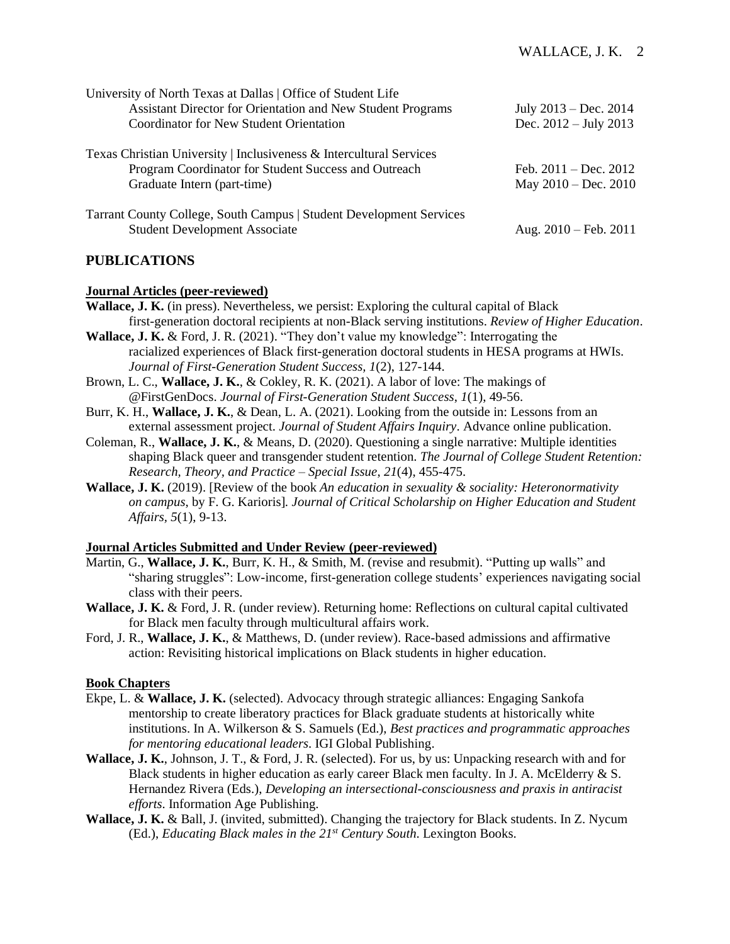| University of North Texas at Dallas   Office of Student Life        |                                 |
|---------------------------------------------------------------------|---------------------------------|
| Assistant Director for Orientation and New Student Programs         | July $2013 - Dec. 2014$         |
| <b>Coordinator for New Student Orientation</b>                      | Dec. $2012 - July 2013$         |
| Texas Christian University   Inclusiveness & Intercultural Services |                                 |
| Program Coordinator for Student Success and Outreach                | Feb. $2011 - Dec. 2012$         |
| Graduate Intern (part-time)                                         | May $2010 - Dec. 2010$          |
| Tarrant County College, South Campus   Student Development Services |                                 |
| <b>Student Development Associate</b>                                | Aug. $2010 - \text{Feb. } 2011$ |
|                                                                     |                                 |

## **PUBLICATIONS**

## **Journal Articles (peer-reviewed)**

- **Wallace, J. K.** (in press). Nevertheless, we persist: Exploring the cultural capital of Black first-generation doctoral recipients at non-Black serving institutions. *Review of Higher Education*.
- **Wallace, J. K.** & Ford, J. R. (2021). "They don't value my knowledge": Interrogating the racialized experiences of Black first-generation doctoral students in HESA programs at HWIs. *Journal of First-Generation Student Success, 1*(2), 127-144.
- Brown, L. C., **Wallace, J. K.**, & Cokley, R. K. (2021). A labor of love: The makings of @FirstGenDocs. *Journal of First-Generation Student Success*, *1*(1), 49-56.
- Burr, K. H., **Wallace, J. K.**, & Dean, L. A. (2021). Looking from the outside in: Lessons from an external assessment project. *Journal of Student Affairs Inquiry*. Advance online publication.
- Coleman, R., **Wallace, J. K.**, & Means, D. (2020). Questioning a single narrative: Multiple identities shaping Black queer and transgender student retention. *The Journal of College Student Retention: Research, Theory, and Practice – Special Issue*, *21*(4), 455-475.
- **Wallace, J. K.** (2019). [Review of the book *An education in sexuality & sociality: Heteronormativity on campus*, by F. G. Karioris]*. Journal of Critical Scholarship on Higher Education and Student Affairs, 5*(1), 9-13.

#### **Journal Articles Submitted and Under Review (peer-reviewed)**

- Martin, G., **Wallace, J. K.**, Burr, K. H., & Smith, M. (revise and resubmit). "Putting up walls" and "sharing struggles": Low-income, first-generation college students' experiences navigating social class with their peers.
- **Wallace, J. K.** & Ford, J. R. (under review). Returning home: Reflections on cultural capital cultivated for Black men faculty through multicultural affairs work.
- Ford, J. R., **Wallace, J. K.**, & Matthews, D. (under review). Race-based admissions and affirmative action: Revisiting historical implications on Black students in higher education.

#### **Book Chapters**

- Ekpe, L. & **Wallace, J. K.** (selected). Advocacy through strategic alliances: Engaging Sankofa mentorship to create liberatory practices for Black graduate students at historically white institutions. In A. Wilkerson & S. Samuels (Ed.), *Best practices and programmatic approaches for mentoring educational leaders*. IGI Global Publishing.
- **Wallace, J. K.**, Johnson, J. T., & Ford, J. R. (selected). For us, by us: Unpacking research with and for Black students in higher education as early career Black men faculty. In J. A. McElderry & S. Hernandez Rivera (Eds.), *Developing an intersectional-consciousness and praxis in antiracist efforts*. Information Age Publishing.
- **Wallace, J. K.** & Ball, J. (invited, submitted). Changing the trajectory for Black students. In Z. Nycum (Ed.), *Educating Black males in the 21st Century South*. Lexington Books.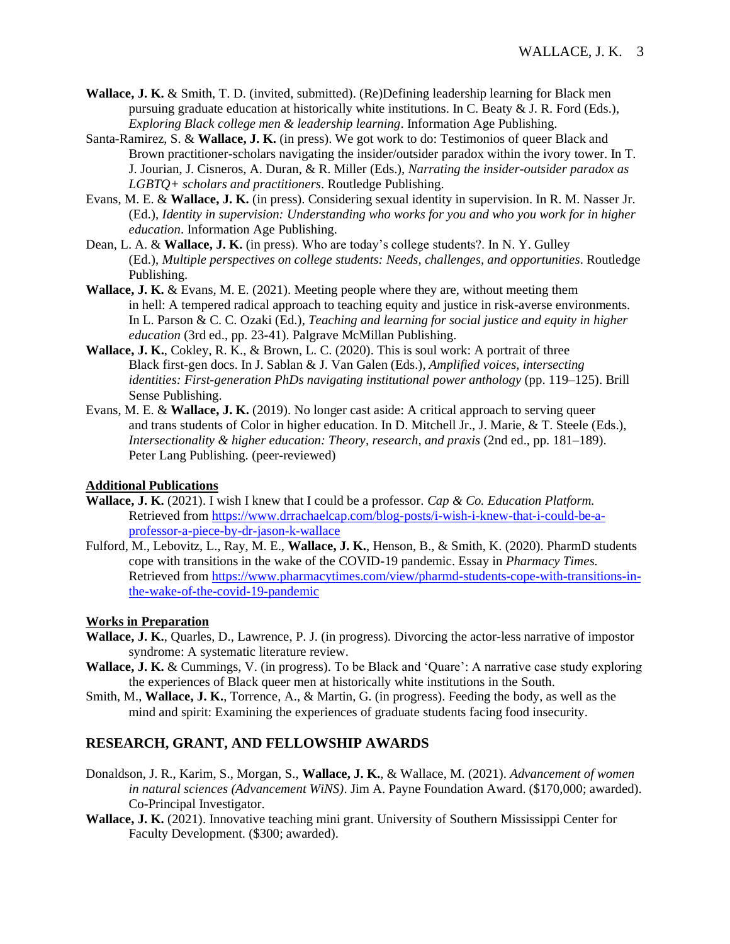- **Wallace, J. K.** & Smith, T. D. (invited, submitted). (Re)Defining leadership learning for Black men pursuing graduate education at historically white institutions. In C. Beaty & J. R. Ford (Eds.), *Exploring Black college men & leadership learning*. Information Age Publishing.
- Santa-Ramirez, S. & **Wallace, J. K.** (in press). We got work to do: Testimonios of queer Black and Brown practitioner-scholars navigating the insider/outsider paradox within the ivory tower. In T. J. Jourian, J. Cisneros, A. Duran, & R. Miller (Eds.), *Narrating the insider-outsider paradox as LGBTQ+ scholars and practitioners*. Routledge Publishing.
- Evans, M. E. & **Wallace, J. K.** (in press). Considering sexual identity in supervision. In R. M. Nasser Jr. (Ed.), *Identity in supervision: Understanding who works for you and who you work for in higher education*. Information Age Publishing.
- Dean, L. A. & **Wallace, J. K.** (in press). Who are today's college students?. In N. Y. Gulley (Ed.), *Multiple perspectives on college students: Needs, challenges, and opportunities*. Routledge Publishing.
- **Wallace, J. K.** & Evans, M. E. (2021). Meeting people where they are, without meeting them in hell: A tempered radical approach to teaching equity and justice in risk-averse environments. In L. Parson & C. C. Ozaki (Ed.), *Teaching and learning for social justice and equity in higher education* (3rd ed., pp. 23-41). Palgrave McMillan Publishing.
- **Wallace, J. K.**, Cokley, R. K., & Brown, L. C. (2020). This is soul work: A portrait of three Black first-gen docs. In J. Sablan & J. Van Galen (Eds.), *Amplified voices, intersecting identities: First-generation PhDs navigating institutional power anthology* (pp. 119–125). Brill Sense Publishing.
- Evans, M. E. & **Wallace, J. K.** (2019). No longer cast aside: A critical approach to serving queer and trans students of Color in higher education. In D. Mitchell Jr., J. Marie, & T. Steele (Eds.), *Intersectionality & higher education: Theory, research, and praxis* (2nd ed., pp. 181–189). Peter Lang Publishing. (peer-reviewed)

#### **Additional Publications**

- **Wallace, J. K.** (2021). I wish I knew that I could be a professor. *Cap & Co. Education Platform.* Retrieved fro[m https://www.drrachaelcap.com/blog-posts/i-wish-i-knew-that-i-could-be-a](https://www.drrachaelcap.com/blog-posts/i-wish-i-knew-that-i-could-be-a-professor-a-piece-by-dr-jason-k-wallace)[professor-a-piece-by-dr-jason-k-wallace](https://www.drrachaelcap.com/blog-posts/i-wish-i-knew-that-i-could-be-a-professor-a-piece-by-dr-jason-k-wallace)
- Fulford, M., Lebovitz, L., Ray, M. E., **Wallace, J. K.**, Henson, B., & Smith, K. (2020). PharmD students cope with transitions in the wake of the COVID-19 pandemic. Essay in *Pharmacy Times.* Retrieved fro[m https://www.pharmacytimes.com/view/pharmd-students-cope-with-transitions-in](https://www.pharmacytimes.com/view/pharmd-students-cope-with-transitions-in-the-wake-of-the-covid-19-pandemic)[the-wake-of-the-covid-19-pandemic](https://www.pharmacytimes.com/view/pharmd-students-cope-with-transitions-in-the-wake-of-the-covid-19-pandemic)

#### **Works in Preparation**

- **Wallace, J. K.**, Quarles, D., Lawrence, P. J. (in progress). Divorcing the actor-less narrative of impostor syndrome: A systematic literature review.
- **Wallace, J. K.** & Cummings, V. (in progress). To be Black and 'Quare': A narrative case study exploring the experiences of Black queer men at historically white institutions in the South.
- Smith, M., **Wallace, J. K.**, Torrence, A., & Martin, G. (in progress). Feeding the body, as well as the mind and spirit: Examining the experiences of graduate students facing food insecurity.

## **RESEARCH, GRANT, AND FELLOWSHIP AWARDS**

- Donaldson, J. R., Karim, S., Morgan, S., **Wallace, J. K.**, & Wallace, M. (2021). *Advancement of women in natural sciences (Advancement WiNS)*. Jim A. Payne Foundation Award. (\$170,000; awarded). Co-Principal Investigator.
- **Wallace, J. K.** (2021). Innovative teaching mini grant. University of Southern Mississippi Center for Faculty Development. (\$300; awarded).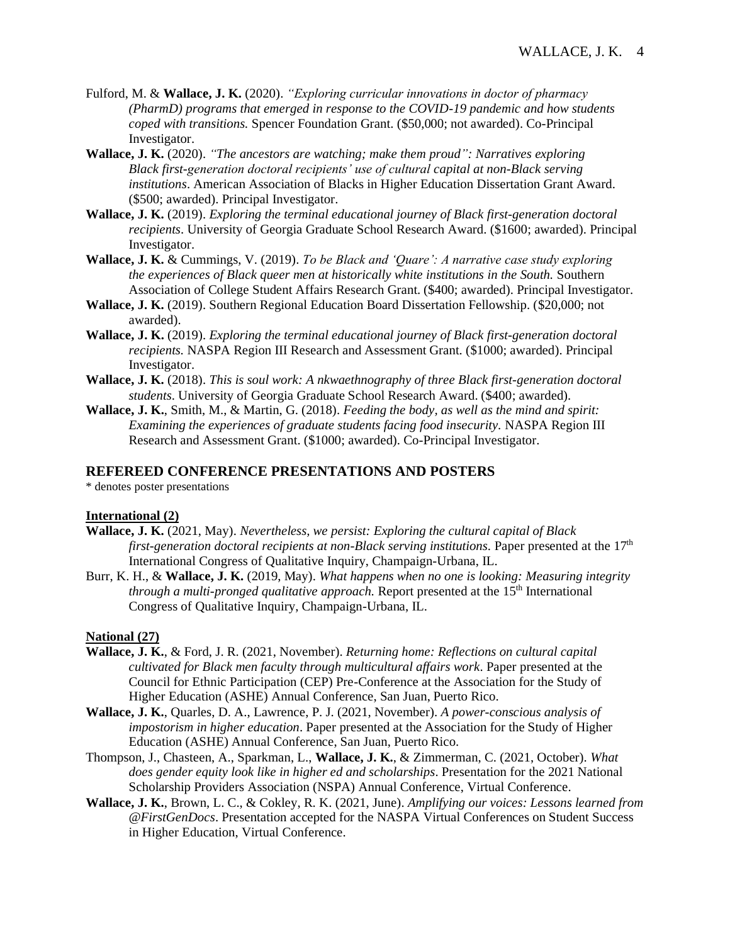- Fulford, M. & **Wallace, J. K.** (2020). *"Exploring curricular innovations in doctor of pharmacy (PharmD) programs that emerged in response to the COVID-19 pandemic and how students coped with transitions.* Spencer Foundation Grant. (\$50,000; not awarded). Co-Principal Investigator.
- **Wallace, J. K.** (2020). *"The ancestors are watching; make them proud": Narratives exploring Black first-generation doctoral recipients' use of cultural capital at non-Black serving institutions*. American Association of Blacks in Higher Education Dissertation Grant Award. (\$500; awarded). Principal Investigator.
- **Wallace, J. K.** (2019). *Exploring the terminal educational journey of Black first-generation doctoral recipients*. University of Georgia Graduate School Research Award. (\$1600; awarded). Principal Investigator.
- **Wallace, J. K.** & Cummings, V. (2019). *To be Black and 'Quare': A narrative case study exploring the experiences of Black queer men at historically white institutions in the South.* Southern Association of College Student Affairs Research Grant. (\$400; awarded). Principal Investigator.
- **Wallace, J. K.** (2019). Southern Regional Education Board Dissertation Fellowship. (\$20,000; not awarded).
- **Wallace, J. K.** (2019). *Exploring the terminal educational journey of Black first-generation doctoral recipients.* NASPA Region III Research and Assessment Grant. (\$1000; awarded). Principal Investigator.
- **Wallace, J. K.** (2018). *This is soul work: A nkwaethnography of three Black first-generation doctoral students*. University of Georgia Graduate School Research Award. (\$400; awarded).
- **Wallace, J. K.**, Smith, M., & Martin, G. (2018). *Feeding the body, as well as the mind and spirit: Examining the experiences of graduate students facing food insecurity.* NASPA Region III Research and Assessment Grant. (\$1000; awarded). Co-Principal Investigator.

## **REFEREED CONFERENCE PRESENTATIONS AND POSTERS**

\* denotes poster presentations

#### **International (2)**

- **Wallace, J. K.** (2021, May). *Nevertheless, we persist: Exploring the cultural capital of Black first-generation doctoral recipients at non-Black serving institutions*. Paper presented at the 17<sup>th</sup> International Congress of Qualitative Inquiry, Champaign-Urbana, IL.
- Burr, K. H., & **Wallace, J. K.** (2019, May). *What happens when no one is looking: Measuring integrity through a multi-pronged qualitative approach.* Report presented at the 15<sup>th</sup> International Congress of Qualitative Inquiry, Champaign-Urbana, IL.

#### **National (27)**

- **Wallace, J. K.**, & Ford, J. R. (2021, November). *Returning home: Reflections on cultural capital cultivated for Black men faculty through multicultural affairs work*. Paper presented at the Council for Ethnic Participation (CEP) Pre-Conference at the Association for the Study of Higher Education (ASHE) Annual Conference, San Juan, Puerto Rico.
- **Wallace, J. K.**, Quarles, D. A., Lawrence, P. J. (2021, November). *A power-conscious analysis of impostorism in higher education*. Paper presented at the Association for the Study of Higher Education (ASHE) Annual Conference, San Juan, Puerto Rico.
- Thompson, J., Chasteen, A., Sparkman, L., **Wallace, J. K.**, & Zimmerman, C. (2021, October). *What does gender equity look like in higher ed and scholarships*. Presentation for the 2021 National Scholarship Providers Association (NSPA) Annual Conference, Virtual Conference.
- **Wallace, J. K.**, Brown, L. C., & Cokley, R. K. (2021, June). *Amplifying our voices: Lessons learned from @FirstGenDocs*. Presentation accepted for the NASPA Virtual Conferences on Student Success in Higher Education, Virtual Conference.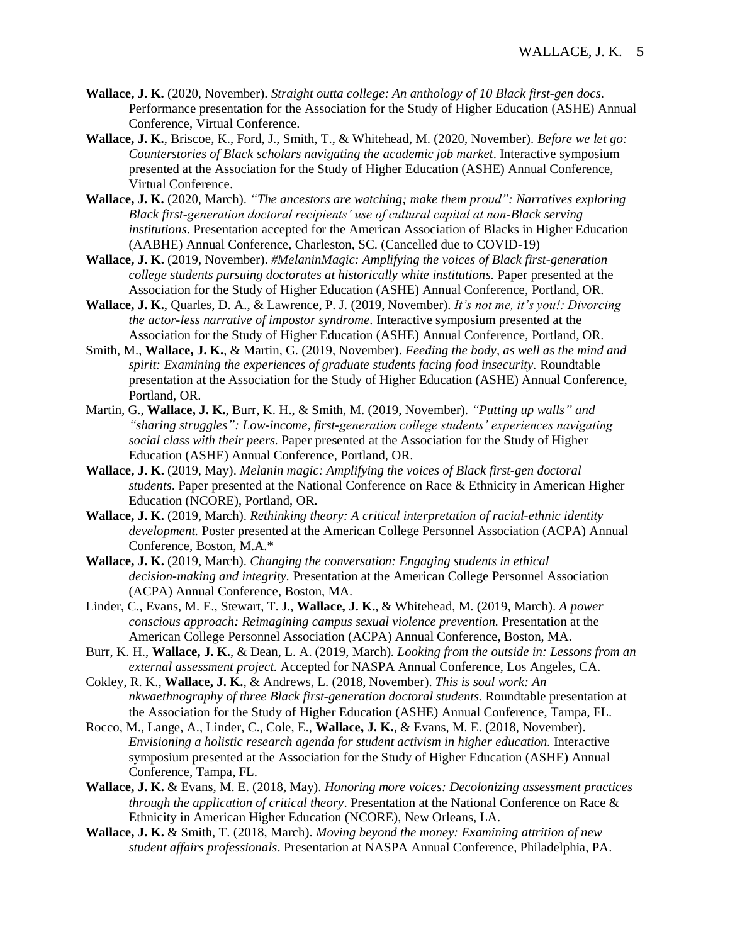- **Wallace, J. K.** (2020, November). *Straight outta college: An anthology of 10 Black first-gen docs*. Performance presentation for the Association for the Study of Higher Education (ASHE) Annual Conference, Virtual Conference.
- **Wallace, J. K.**, Briscoe, K., Ford, J., Smith, T., & Whitehead, M. (2020, November). *Before we let go: Counterstories of Black scholars navigating the academic job market*. Interactive symposium presented at the Association for the Study of Higher Education (ASHE) Annual Conference, Virtual Conference.
- **Wallace, J. K.** (2020, March). *"The ancestors are watching; make them proud": Narratives exploring Black first-generation doctoral recipients' use of cultural capital at non-Black serving institutions*. Presentation accepted for the American Association of Blacks in Higher Education (AABHE) Annual Conference, Charleston, SC. (Cancelled due to COVID-19)
- **Wallace, J. K.** (2019, November). *#MelaninMagic: Amplifying the voices of Black first-generation college students pursuing doctorates at historically white institutions.* Paper presented at the Association for the Study of Higher Education (ASHE) Annual Conference, Portland, OR.
- **Wallace, J. K.**, Quarles, D. A., & Lawrence, P. J. (2019, November). *It's not me, it's you!: Divorcing the actor-less narrative of impostor syndrome.* Interactive symposium presented at the Association for the Study of Higher Education (ASHE) Annual Conference, Portland, OR.
- Smith, M., **Wallace, J. K.**, & Martin, G. (2019, November). *Feeding the body, as well as the mind and spirit: Examining the experiences of graduate students facing food insecurity.* Roundtable presentation at the Association for the Study of Higher Education (ASHE) Annual Conference, Portland, OR.
- Martin, G., **Wallace, J. K.**, Burr, K. H., & Smith, M. (2019, November). *"Putting up walls" and "sharing struggles": Low-income, first-generation college students' experiences navigating social class with their peers.* Paper presented at the Association for the Study of Higher Education (ASHE) Annual Conference, Portland, OR.
- **Wallace, J. K.** (2019, May). *Melanin magic: Amplifying the voices of Black first-gen doctoral students*. Paper presented at the National Conference on Race & Ethnicity in American Higher Education (NCORE), Portland, OR.
- **Wallace, J. K.** (2019, March). *Rethinking theory: A critical interpretation of racial-ethnic identity development.* Poster presented at the American College Personnel Association (ACPA) Annual Conference, Boston, M.A.\*
- **Wallace, J. K.** (2019, March). *Changing the conversation: Engaging students in ethical decision-making and integrity.* Presentation at the American College Personnel Association (ACPA) Annual Conference, Boston, MA.
- Linder, C., Evans, M. E., Stewart, T. J., **Wallace, J. K.**, & Whitehead, M. (2019, March). *A power conscious approach: Reimagining campus sexual violence prevention.* Presentation at the American College Personnel Association (ACPA) Annual Conference, Boston, MA.
- Burr, K. H., **Wallace, J. K.**, & Dean, L. A. (2019, March). *Looking from the outside in: Lessons from an external assessment project.* Accepted for NASPA Annual Conference, Los Angeles, CA.
- Cokley, R. K., **Wallace, J. K.**, & Andrews, L. (2018, November). *This is soul work: An nkwaethnography of three Black first-generation doctoral students.* Roundtable presentation at the Association for the Study of Higher Education (ASHE) Annual Conference, Tampa, FL.
- Rocco, M., Lange, A., Linder, C., Cole, E., **Wallace, J. K.**, & Evans, M. E. (2018, November). *Envisioning a holistic research agenda for student activism in higher education.* Interactive symposium presented at the Association for the Study of Higher Education (ASHE) Annual Conference, Tampa, FL.
- **Wallace, J. K.** & Evans, M. E. (2018, May). *Honoring more voices: Decolonizing assessment practices through the application of critical theory*. Presentation at the National Conference on Race & Ethnicity in American Higher Education (NCORE), New Orleans, LA.
- **Wallace, J. K.** & Smith, T. (2018, March). *Moving beyond the money: Examining attrition of new student affairs professionals*. Presentation at NASPA Annual Conference, Philadelphia, PA.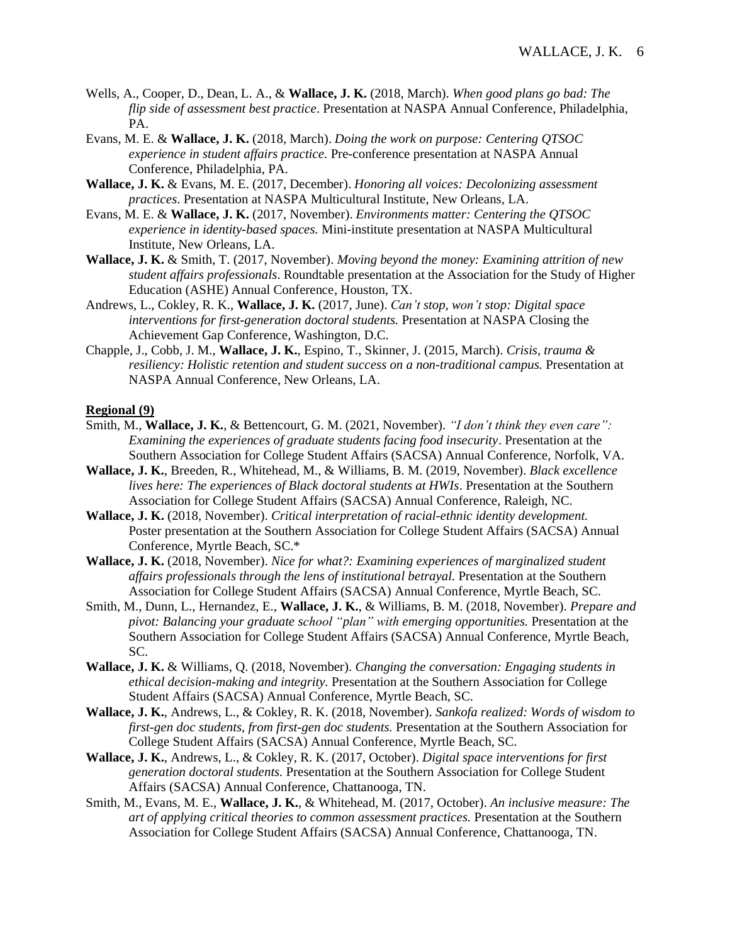- Wells, A., Cooper, D., Dean, L. A., & **Wallace, J. K.** (2018, March). *When good plans go bad: The flip side of assessment best practice*. Presentation at NASPA Annual Conference, Philadelphia, PA.
- Evans, M. E. & **Wallace, J. K.** (2018, March). *Doing the work on purpose: Centering QTSOC experience in student affairs practice.* Pre-conference presentation at NASPA Annual Conference, Philadelphia, PA.
- **Wallace, J. K.** & Evans, M. E. (2017, December). *Honoring all voices: Decolonizing assessment practices*. Presentation at NASPA Multicultural Institute, New Orleans, LA.
- Evans, M. E. & **Wallace, J. K.** (2017, November). *Environments matter: Centering the QTSOC experience in identity-based spaces.* Mini-institute presentation at NASPA Multicultural Institute, New Orleans, LA.
- **Wallace, J. K.** & Smith, T. (2017, November). *Moving beyond the money: Examining attrition of new student affairs professionals*. Roundtable presentation at the Association for the Study of Higher Education (ASHE) Annual Conference, Houston, TX.
- Andrews, L., Cokley, R. K., **Wallace, J. K.** (2017, June). *Can't stop, won't stop: Digital space interventions for first-generation doctoral students.* Presentation at NASPA Closing the Achievement Gap Conference, Washington, D.C.
- Chapple, J., Cobb, J. M., **Wallace, J. K.**, Espino, T., Skinner, J. (2015, March). *Crisis, trauma & resiliency: Holistic retention and student success on a non-traditional campus.* Presentation at NASPA Annual Conference, New Orleans, LA.

#### **Regional (9)**

- Smith, M., **Wallace, J. K.**, & Bettencourt, G. M. (2021, November). *"I don't think they even care": Examining the experiences of graduate students facing food insecurity*. Presentation at the Southern Association for College Student Affairs (SACSA) Annual Conference, Norfolk, VA.
- **Wallace, J. K.**, Breeden, R., Whitehead, M., & Williams, B. M. (2019, November). *Black excellence lives here: The experiences of Black doctoral students at HWIs*. Presentation at the Southern Association for College Student Affairs (SACSA) Annual Conference, Raleigh, NC.
- **Wallace, J. K.** (2018, November). *Critical interpretation of racial-ethnic identity development.* Poster presentation at the Southern Association for College Student Affairs (SACSA) Annual Conference, Myrtle Beach, SC.\*
- **Wallace, J. K.** (2018, November). *Nice for what?: Examining experiences of marginalized student affairs professionals through the lens of institutional betrayal.* Presentation at the Southern Association for College Student Affairs (SACSA) Annual Conference, Myrtle Beach, SC.
- Smith, M., Dunn, L., Hernandez, E., **Wallace, J. K.**, & Williams, B. M. (2018, November). *Prepare and pivot: Balancing your graduate school "plan" with emerging opportunities.* Presentation at the Southern Association for College Student Affairs (SACSA) Annual Conference, Myrtle Beach, SC.
- **Wallace, J. K.** & Williams, Q. (2018, November). *Changing the conversation: Engaging students in ethical decision-making and integrity.* Presentation at the Southern Association for College Student Affairs (SACSA) Annual Conference, Myrtle Beach, SC.
- **Wallace, J. K.**, Andrews, L., & Cokley, R. K. (2018, November). *Sankofa realized: Words of wisdom to first-gen doc students, from first-gen doc students.* Presentation at the Southern Association for College Student Affairs (SACSA) Annual Conference, Myrtle Beach, SC.
- **Wallace, J. K.**, Andrews, L., & Cokley, R. K. (2017, October). *Digital space interventions for first generation doctoral students.* Presentation at the Southern Association for College Student Affairs (SACSA) Annual Conference, Chattanooga, TN.
- Smith, M., Evans, M. E., **Wallace, J. K.**, & Whitehead, M. (2017, October). *An inclusive measure: The art of applying critical theories to common assessment practices.* Presentation at the Southern Association for College Student Affairs (SACSA) Annual Conference, Chattanooga, TN.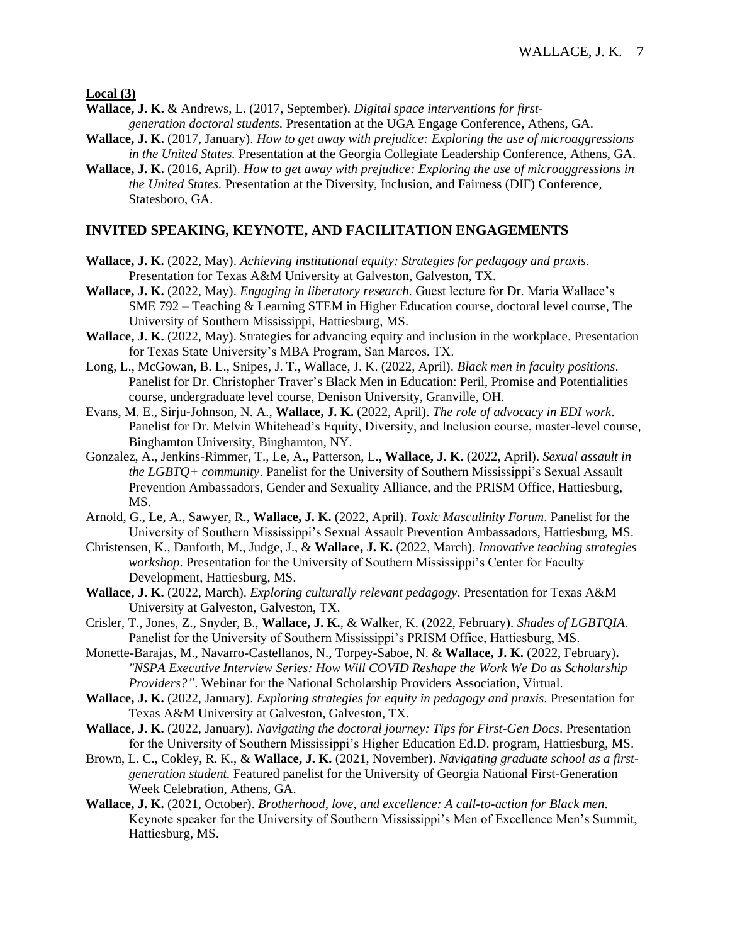**Local (3)**

- **Wallace, J. K.** & Andrews, L. (2017, September). *Digital space interventions for firstgeneration doctoral students.* Presentation at the UGA Engage Conference, Athens, GA.
- **Wallace, J. K.** (2017, January). *How to get away with prejudice: Exploring the use of microaggressions in the United States.* Presentation at the Georgia Collegiate Leadership Conference, Athens, GA.
- **Wallace, J. K.** (2016, April). *How to get away with prejudice: Exploring the use of microaggressions in the United States.* Presentation at the Diversity, Inclusion, and Fairness (DIF) Conference, Statesboro, GA.

## **INVITED SPEAKING, KEYNOTE, AND FACILITATION ENGAGEMENTS**

- **Wallace, J. K.** (2022, May). *Achieving institutional equity: Strategies for pedagogy and praxis*. Presentation for Texas A&M University at Galveston, Galveston, TX.
- **Wallace, J. K.** (2022, May). *Engaging in liberatory research*. Guest lecture for Dr. Maria Wallace's SME 792 – Teaching & Learning STEM in Higher Education course, doctoral level course, The University of Southern Mississippi, Hattiesburg, MS.
- **Wallace, J. K.** (2022, May). Strategies for advancing equity and inclusion in the workplace. Presentation for Texas State University's MBA Program, San Marcos, TX.
- Long, L., McGowan, B. L., Snipes, J. T., Wallace, J. K. (2022, April). *Black men in faculty positions*. Panelist for Dr. Christopher Traver's Black Men in Education: Peril, Promise and Potentialities course, undergraduate level course, Denison University, Granville, OH.
- Evans, M. E., Sirju-Johnson, N. A., **Wallace, J. K.** (2022, April). *The role of advocacy in EDI work*. Panelist for Dr. Melvin Whitehead's Equity, Diversity, and Inclusion course, master-level course, Binghamton University, Binghamton, NY.
- Gonzalez, A., Jenkins-Rimmer, T., Le, A., Patterson, L., **Wallace, J. K.** (2022, April). *Sexual assault in the LGBTQ+ community*. Panelist for the University of Southern Mississippi's Sexual Assault Prevention Ambassadors, Gender and Sexuality Alliance, and the PRISM Office, Hattiesburg, MS.
- Arnold, G., Le, A., Sawyer, R., **Wallace, J. K.** (2022, April). *Toxic Masculinity Forum*. Panelist for the University of Southern Mississippi's Sexual Assault Prevention Ambassadors, Hattiesburg, MS.
- Christensen, K., Danforth, M., Judge, J., & **Wallace, J. K.** (2022, March). *Innovative teaching strategies workshop*. Presentation for the University of Southern Mississippi's Center for Faculty Development, Hattiesburg, MS.
- **Wallace, J. K.** (2022, March). *Exploring culturally relevant pedagogy*. Presentation for Texas A&M University at Galveston, Galveston, TX.
- Crisler, T., Jones, Z., Snyder, B., **Wallace, J. K.**, & Walker, K. (2022, February). *Shades of LGBTQIA*. Panelist for the University of Southern Mississippi's PRISM Office, Hattiesburg, MS.
- Monette-Barajas, M., Navarro-Castellanos, N., Torpey-Saboe, N. & **Wallace, J. K.** (2022, February)**.** *"NSPA Executive Interview Series: How Will COVID Reshape the Work We Do as Scholarship Providers?"*. Webinar for the National Scholarship Providers Association, Virtual.
- **Wallace, J. K.** (2022, January). *Exploring strategies for equity in pedagogy and praxis*. Presentation for Texas A&M University at Galveston, Galveston, TX.
- **Wallace, J. K.** (2022, January). *Navigating the doctoral journey: Tips for First-Gen Docs*. Presentation for the University of Southern Mississippi's Higher Education Ed.D. program, Hattiesburg, MS.
- Brown, L. C., Cokley, R. K., & **Wallace, J. K.** (2021, November). *Navigating graduate school as a firstgeneration student.* Featured panelist for the University of Georgia National First-Generation Week Celebration, Athens, GA.
- **Wallace, J. K.** (2021, October). *Brotherhood, love, and excellence: A call-to-action for Black men*. Keynote speaker for the University of Southern Mississippi's Men of Excellence Men's Summit, Hattiesburg, MS.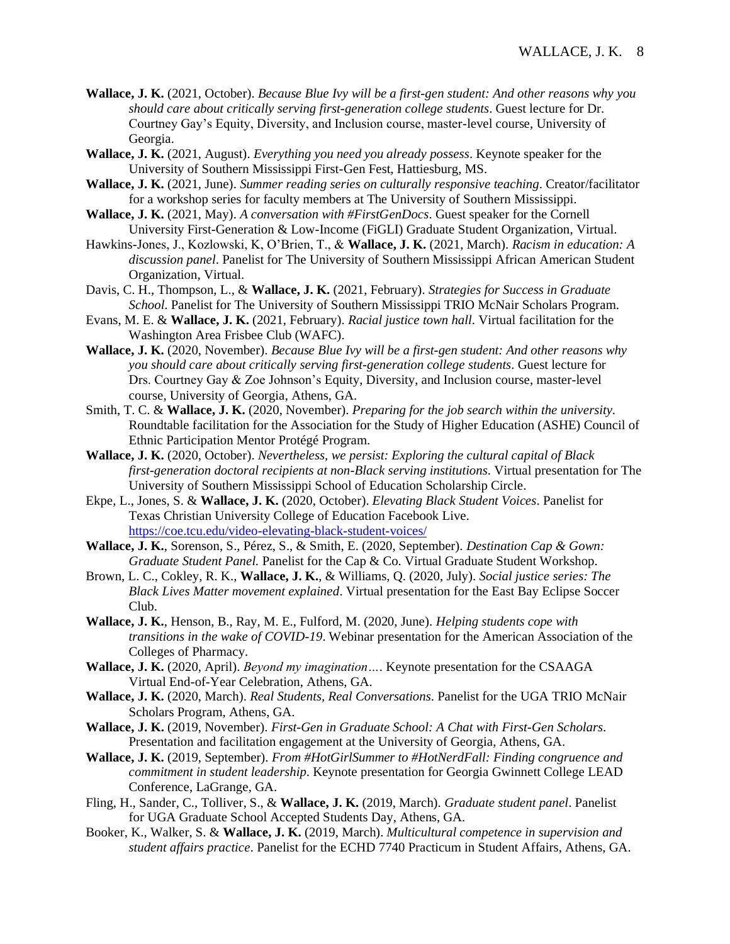- **Wallace, J. K.** (2021, October). *Because Blue Ivy will be a first-gen student: And other reasons why you should care about critically serving first-generation college students*. Guest lecture for Dr. Courtney Gay's Equity, Diversity, and Inclusion course, master-level course, University of Georgia.
- **Wallace, J. K.** (2021, August). *Everything you need you already possess*. Keynote speaker for the University of Southern Mississippi First-Gen Fest, Hattiesburg, MS.
- **Wallace, J. K.** (2021, June). *Summer reading series on culturally responsive teaching*. Creator/facilitator for a workshop series for faculty members at The University of Southern Mississippi.
- **Wallace, J. K.** (2021, May). *A conversation with #FirstGenDocs*. Guest speaker for the Cornell University First-Generation & Low-Income (FiGLI) Graduate Student Organization, Virtual.
- Hawkins-Jones, J., Kozlowski, K, O'Brien, T., & **Wallace, J. K.** (2021, March). *Racism in education: A discussion panel*. Panelist for The University of Southern Mississippi African American Student Organization, Virtual.
- Davis, C. H., Thompson, L., & **Wallace, J. K.** (2021, February). *Strategies for Success in Graduate School*. Panelist for The University of Southern Mississippi TRIO McNair Scholars Program.
- Evans, M. E. & **Wallace, J. K.** (2021, February). *Racial justice town hall*. Virtual facilitation for the Washington Area Frisbee Club (WAFC).
- **Wallace, J. K.** (2020, November). *Because Blue Ivy will be a first-gen student: And other reasons why you should care about critically serving first-generation college students*. Guest lecture for Drs. Courtney Gay & Zoe Johnson's Equity, Diversity, and Inclusion course, master-level course, University of Georgia, Athens, GA.
- Smith, T. C. & **Wallace, J. K.** (2020, November). *Preparing for the job search within the university.* Roundtable facilitation for the Association for the Study of Higher Education (ASHE) Council of Ethnic Participation Mentor Protégé Program.
- **Wallace, J. K.** (2020, October). *Nevertheless, we persist: Exploring the cultural capital of Black first-generation doctoral recipients at non-Black serving institutions*. Virtual presentation for The University of Southern Mississippi School of Education Scholarship Circle.
- Ekpe, L., Jones, S. & **Wallace, J. K.** (2020, October). *Elevating Black Student Voices*. Panelist for Texas Christian University College of Education Facebook Live. <https://coe.tcu.edu/video-elevating-black-student-voices/>
- **Wallace, J. K.**, Sorenson, S., Pérez, S., & Smith, E. (2020, September). *Destination Cap & Gown: Graduate Student Panel.* Panelist for the Cap & Co. Virtual Graduate Student Workshop.
- Brown, L. C., Cokley, R. K., **Wallace, J. K.**, & Williams, Q. (2020, July). *Social justice series: The Black Lives Matter movement explained*. Virtual presentation for the East Bay Eclipse Soccer Club.
- **Wallace, J. K.**, Henson, B., Ray, M. E., Fulford, M. (2020, June). *Helping students cope with transitions in the wake of COVID-19*. Webinar presentation for the American Association of the Colleges of Pharmacy.
- **Wallace, J. K.** (2020, April). *Beyond my imagination…*. Keynote presentation for the CSAAGA Virtual End-of-Year Celebration, Athens, GA.
- **Wallace, J. K.** (2020, March). *Real Students, Real Conversations*. Panelist for the UGA TRIO McNair Scholars Program, Athens, GA.
- **Wallace, J. K.** (2019, November). *First-Gen in Graduate School: A Chat with First-Gen Scholars*. Presentation and facilitation engagement at the University of Georgia, Athens, GA.
- **Wallace, J. K.** (2019, September). *From #HotGirlSummer to #HotNerdFall: Finding congruence and commitment in student leadership*. Keynote presentation for Georgia Gwinnett College LEAD Conference, LaGrange, GA.
- Fling, H., Sander, C., Tolliver, S., & **Wallace, J. K.** (2019, March). *Graduate student panel*. Panelist for UGA Graduate School Accepted Students Day, Athens, GA.
- Booker, K., Walker, S. & **Wallace, J. K.** (2019, March). *Multicultural competence in supervision and student affairs practice*. Panelist for the ECHD 7740 Practicum in Student Affairs, Athens, GA.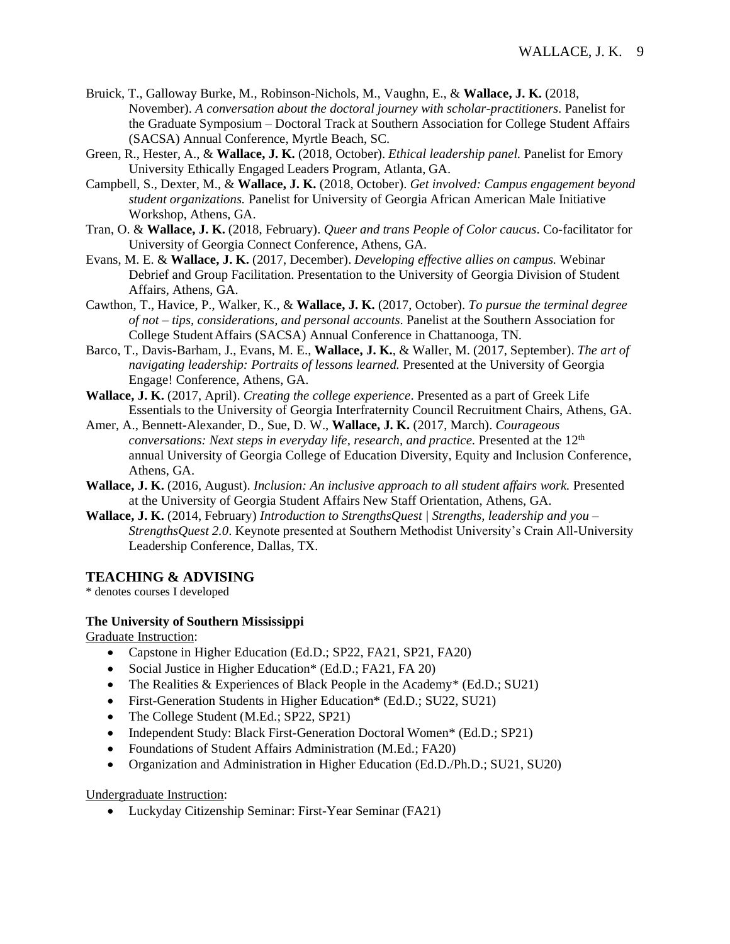- Bruick, T., Galloway Burke, M., Robinson-Nichols, M., Vaughn, E., & **Wallace, J. K.** (2018, November). *A conversation about the doctoral journey with scholar-practitioners*. Panelist for the Graduate Symposium – Doctoral Track at Southern Association for College Student Affairs (SACSA) Annual Conference, Myrtle Beach, SC.
- Green, R., Hester, A., & **Wallace, J. K.** (2018, October). *Ethical leadership panel.* Panelist for Emory University Ethically Engaged Leaders Program, Atlanta, GA.
- Campbell, S., Dexter, M., & **Wallace, J. K.** (2018, October). *Get involved: Campus engagement beyond student organizations.* Panelist for University of Georgia African American Male Initiative Workshop, Athens, GA.
- Tran, O. & **Wallace, J. K.** (2018, February). *Queer and trans People of Color caucus*. Co-facilitator for University of Georgia Connect Conference, Athens, GA.
- Evans, M. E. & **Wallace, J. K.** (2017, December). *Developing effective allies on campus.* Webinar Debrief and Group Facilitation. Presentation to the University of Georgia Division of Student Affairs, Athens, GA.
- Cawthon, T., Havice, P., Walker, K., & **Wallace, J. K.** (2017, October). *To pursue the terminal degree of not – tips, considerations, and personal accounts*. Panelist at the Southern Association for College StudentAffairs (SACSA) Annual Conference in Chattanooga, TN.
- Barco, T., Davis-Barham, J., Evans, M. E., **Wallace, J. K.**, & Waller, M. (2017, September). *The art of navigating leadership: Portraits of lessons learned.* Presented at the University of Georgia Engage! Conference, Athens, GA.
- **Wallace, J. K.** (2017, April). *Creating the college experience*. Presented as a part of Greek Life Essentials to the University of Georgia Interfraternity Council Recruitment Chairs, Athens, GA.
- Amer, A., Bennett-Alexander, D., Sue, D. W., **Wallace, J. K.** (2017, March). *Courageous conversations: Next steps in everyday life, research, and practice. Presented at the 12<sup>th</sup>* annual University of Georgia College of Education Diversity, Equity and Inclusion Conference, Athens, GA.
- **Wallace, J. K.** (2016, August). *Inclusion: An inclusive approach to all student affairs work.* Presented at the University of Georgia Student Affairs New Staff Orientation, Athens, GA.
- **Wallace, J. K.** (2014, February) *Introduction to StrengthsQuest | Strengths, leadership and you – StrengthsQuest 2.0*. Keynote presented at Southern Methodist University's Crain All-University Leadership Conference, Dallas, TX.

## **TEACHING & ADVISING**

\* denotes courses I developed

#### **The University of Southern Mississippi**

Graduate Instruction:

- Capstone in Higher Education (Ed.D.; SP22, FA21, SP21, FA20)
- Social Justice in Higher Education\* (Ed.D.; FA21, FA 20)
- The Realities & Experiences of Black People in the Academy\* (Ed.D.; SU21)
- First-Generation Students in Higher Education\* (Ed.D.; SU22, SU21)
- The College Student (M.Ed.; SP22, SP21)
- Independent Study: Black First-Generation Doctoral Women\* (Ed.D.; SP21)
- Foundations of Student Affairs Administration (M.Ed.; FA20)
- Organization and Administration in Higher Education (Ed.D./Ph.D.; SU21, SU20)

Undergraduate Instruction:

• Luckyday Citizenship Seminar: First-Year Seminar (FA21)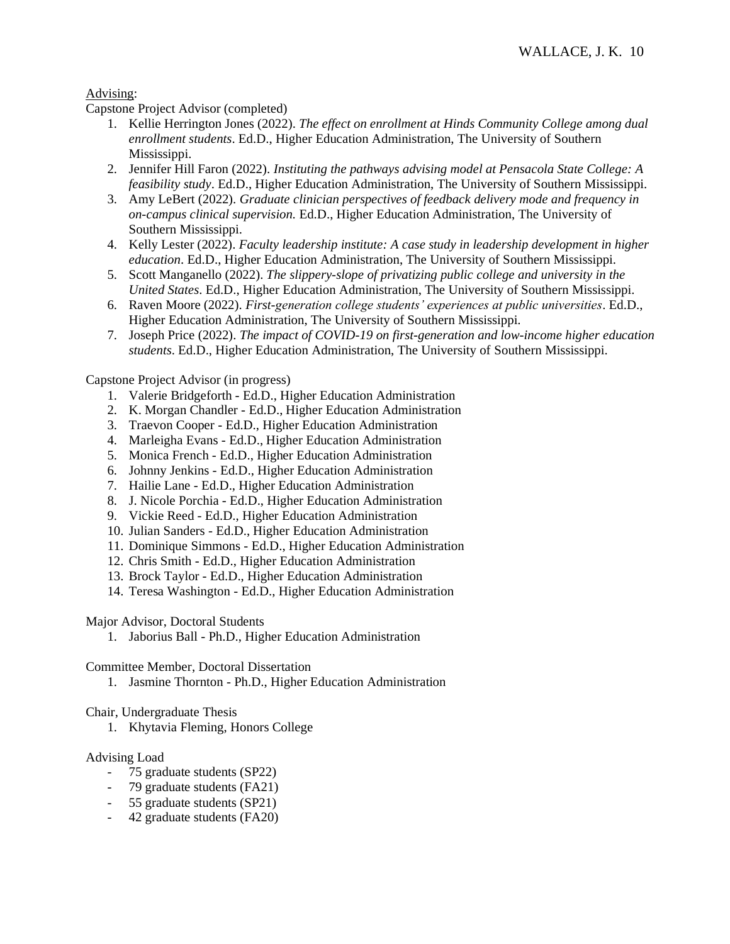### Advising:

Capstone Project Advisor (completed)

- 1. Kellie Herrington Jones (2022). *The effect on enrollment at Hinds Community College among dual enrollment students*. Ed.D., Higher Education Administration, The University of Southern Mississippi.
- 2. Jennifer Hill Faron (2022). *Instituting the pathways advising model at Pensacola State College: A feasibility study*. Ed.D., Higher Education Administration, The University of Southern Mississippi.
- 3. Amy LeBert (2022). *Graduate clinician perspectives of feedback delivery mode and frequency in on-campus clinical supervision.* Ed.D., Higher Education Administration, The University of Southern Mississippi.
- 4. Kelly Lester (2022). *Faculty leadership institute: A case study in leadership development in higher education*. Ed.D., Higher Education Administration, The University of Southern Mississippi.
- 5. Scott Manganello (2022). *The slippery-slope of privatizing public college and university in the United States*. Ed.D., Higher Education Administration, The University of Southern Mississippi.
- 6. Raven Moore (2022). *First-generation college students' experiences at public universities*. Ed.D., Higher Education Administration, The University of Southern Mississippi.
- 7. Joseph Price (2022). *The impact of COVID-19 on first-generation and low-income higher education students*. Ed.D., Higher Education Administration, The University of Southern Mississippi.

Capstone Project Advisor (in progress)

- 1. Valerie Bridgeforth Ed.D., Higher Education Administration
- 2. K. Morgan Chandler Ed.D., Higher Education Administration
- 3. Traevon Cooper Ed.D., Higher Education Administration
- 4. Marleigha Evans Ed.D., Higher Education Administration
- 5. Monica French Ed.D., Higher Education Administration
- 6. Johnny Jenkins Ed.D., Higher Education Administration
- 7. Hailie Lane Ed.D., Higher Education Administration
- 8. J. Nicole Porchia Ed.D., Higher Education Administration
- 9. Vickie Reed Ed.D., Higher Education Administration
- 10. Julian Sanders Ed.D., Higher Education Administration
- 11. Dominique Simmons Ed.D., Higher Education Administration
- 12. Chris Smith Ed.D., Higher Education Administration
- 13. Brock Taylor Ed.D., Higher Education Administration
- 14. Teresa Washington Ed.D., Higher Education Administration

Major Advisor, Doctoral Students

1. Jaborius Ball - Ph.D., Higher Education Administration

Committee Member, Doctoral Dissertation

1. Jasmine Thornton - Ph.D., Higher Education Administration

#### Chair, Undergraduate Thesis

1. Khytavia Fleming, Honors College

## Advising Load

- 75 graduate students (SP22)
- 79 graduate students (FA21)
- 55 graduate students (SP21)
- 42 graduate students (FA20)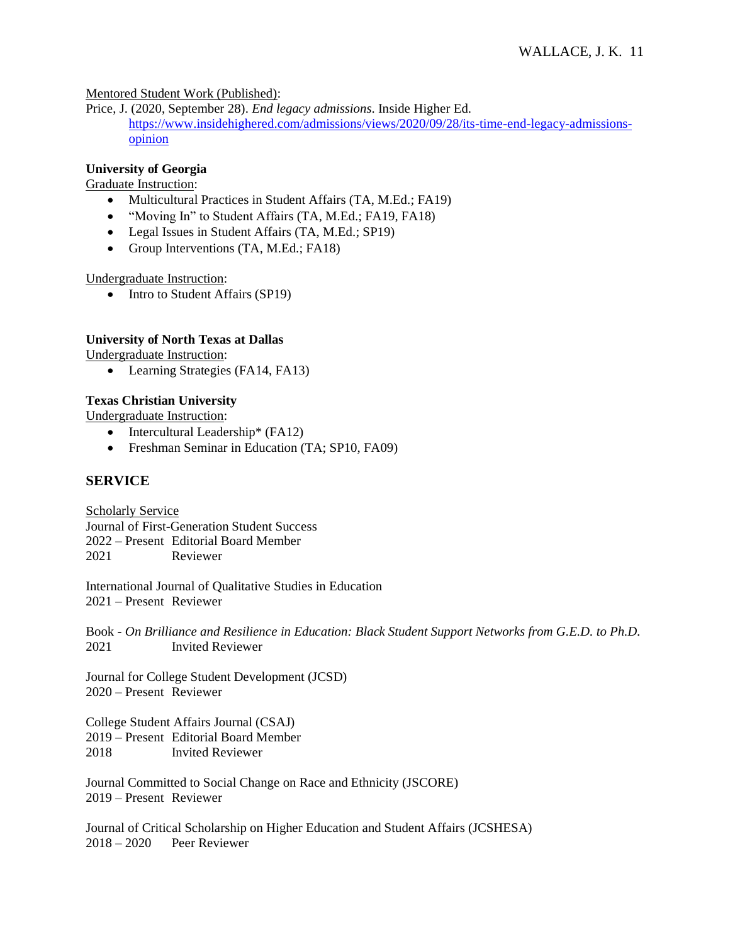## Mentored Student Work (Published):

Price, J. (2020, September 28). *End legacy admissions*. Inside Higher Ed. [https://www.insidehighered.com/admissions/views/2020/09/28/its-time-end-legacy-admissions](https://www.insidehighered.com/admissions/views/2020/09/28/its-time-end-legacy-admissions-opinion)[opinion](https://www.insidehighered.com/admissions/views/2020/09/28/its-time-end-legacy-admissions-opinion)

## **University of Georgia**

Graduate Instruction:

- Multicultural Practices in Student Affairs (TA, M.Ed.; FA19)
- "Moving In" to Student Affairs (TA, M.Ed.; FA19, FA18)
- Legal Issues in Student Affairs (TA, M.Ed.; SP19)
- Group Interventions (TA, M.Ed.; FA18)

## Undergraduate Instruction:

• Intro to Student Affairs (SP19)

## **University of North Texas at Dallas**

Undergraduate Instruction:

• Learning Strategies (FA14, FA13)

# **Texas Christian University**

Undergraduate Instruction:

- Intercultural Leadership\* (FA12)
- Freshman Seminar in Education (TA; SP10, FA09)

# **SERVICE**

Scholarly Service Journal of First-Generation Student Success 2022 – Present Editorial Board Member 2021 Reviewer

International Journal of Qualitative Studies in Education 2021 – Present Reviewer

Book - *On Brilliance and Resilience in Education: Black Student Support Networks from G.E.D. to Ph.D.* 2021 Invited Reviewer

Journal for College Student Development (JCSD) 2020 – Present Reviewer

College Student Affairs Journal (CSAJ) 2019 – Present Editorial Board Member 2018 Invited Reviewer

Journal Committed to Social Change on Race and Ethnicity (JSCORE) 2019 – Present Reviewer

Journal of Critical Scholarship on Higher Education and Student Affairs (JCSHESA) 2018 – 2020 Peer Reviewer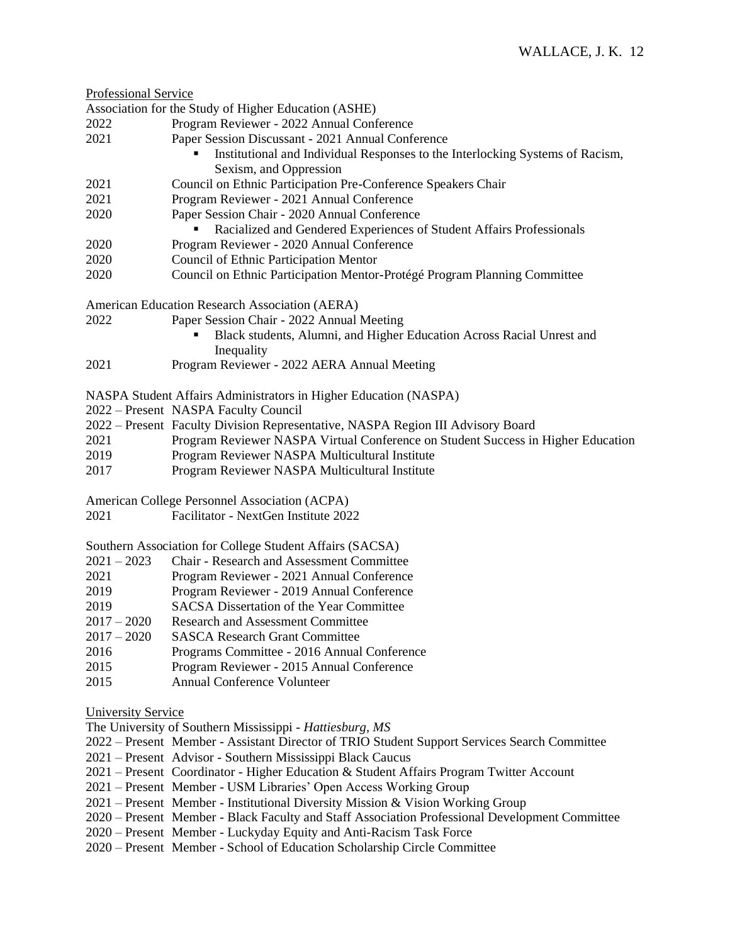Professional Service

Association for the Study of Higher Education (ASHE)

- 2022 Program Reviewer 2022 Annual Conference
- 2021 Paper Session Discussant 2021 Annual Conference
	- Institutional and Individual Responses to the Interlocking Systems of Racism, Sexism, and Oppression
- 2021 Council on Ethnic Participation Pre-Conference Speakers Chair
- 2021 Program Reviewer 2021 Annual Conference
- 2020 Paper Session Chair 2020 Annual Conference
	- Racialized and Gendered Experiences of Student Affairs Professionals
- 2020 Program Reviewer 2020 Annual Conference
- 2020 Council of Ethnic Participation Mentor
- 2020 Council on Ethnic Participation Mentor-Protégé Program Planning Committee

American Education Research Association (AERA)

```
2022 Paper Session Chair - 2022 Annual Meeting
```
- Black students, Alumni, and Higher Education Across Racial Unrest and **Inequality**
- 2021 Program Reviewer 2022 AERA Annual Meeting

NASPA Student Affairs Administrators in Higher Education (NASPA)

- 2022 Present NASPA Faculty Council
- 2022 Present Faculty Division Representative, NASPA Region III Advisory Board
- 2021 Program Reviewer NASPA Virtual Conference on Student Success in Higher Education
- 2019 Program Reviewer NASPA Multicultural Institute
- 2017 Program Reviewer NASPA Multicultural Institute

American College Personnel Association (ACPA)

2021 Facilitator - NextGen Institute 2022

Southern Association for College Student Affairs (SACSA)

- 2021 2023 Chair Research and Assessment Committee
- 2021 Program Reviewer 2021 Annual Conference
- 2019 Program Reviewer 2019 Annual Conference
- 2019 SACSA Dissertation of the Year Committee
- 2017 2020 Research and Assessment Committee
- 2017 2020 SASCA Research Grant Committee
- 2016 Programs Committee 2016 Annual Conference
- 2015 Program Reviewer 2015 Annual Conference
- 2015 Annual Conference Volunteer
- University Service

The University of Southern Mississippi - *Hattiesburg, MS*

- 2022 Present Member Assistant Director of TRIO Student Support Services Search Committee
- 2021 Present Advisor Southern Mississippi Black Caucus
- 2021 Present Coordinator Higher Education & Student Affairs Program Twitter Account
- 2021 Present Member USM Libraries' Open Access Working Group
- 2021 Present Member Institutional Diversity Mission & Vision Working Group
- 2020 Present Member Black Faculty and Staff Association Professional Development Committee
- 2020 Present Member Luckyday Equity and Anti-Racism Task Force
- 2020 Present Member School of Education Scholarship Circle Committee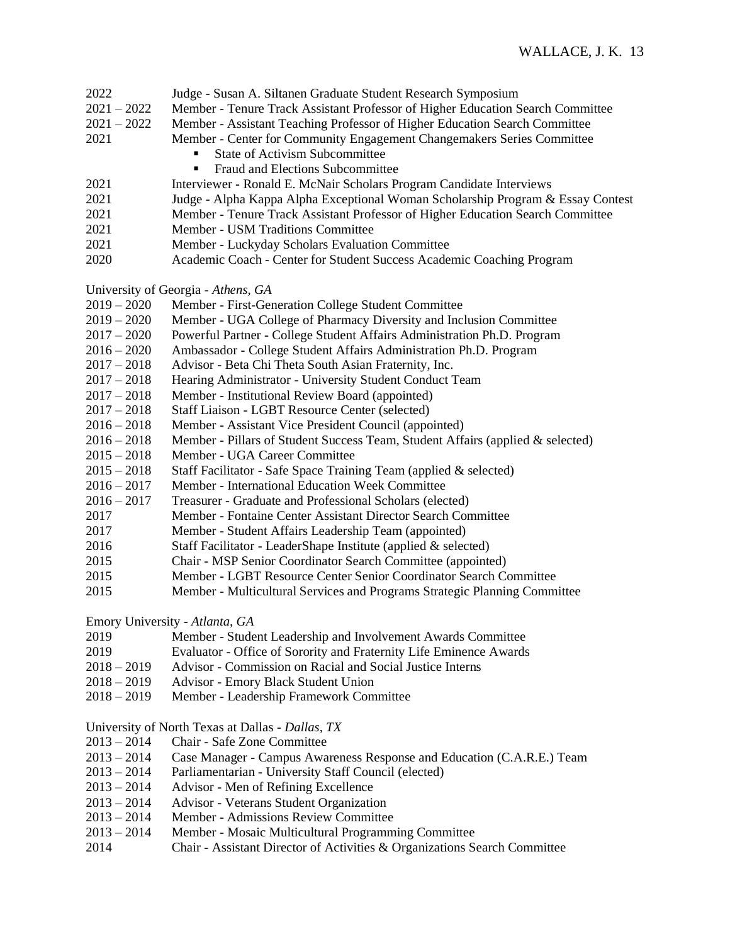| 2022 | Judge - Susan A. Siltanen Graduate Student Research Symposium |  |  |  |
|------|---------------------------------------------------------------|--|--|--|
|      |                                                               |  |  |  |

- 2021 2022 Member Tenure Track Assistant Professor of Higher Education Search Committee
- 2021 2022 Member Assistant Teaching Professor of Higher Education Search Committee
- 2021 Member Center for Community Engagement Changemakers Series Committee
	- **State of Activism Subcommittee**
	- Fraud and Elections Subcommittee
- 2021 Interviewer Ronald E. McNair Scholars Program Candidate Interviews
- 2021 Judge Alpha Kappa Alpha Exceptional Woman Scholarship Program & Essay Contest
- 2021 Member Tenure Track Assistant Professor of Higher Education Search Committee
- 2021 Member USM Traditions Committee
- 2021 Member Luckyday Scholars Evaluation Committee
- 2020 Academic Coach Center for Student Success Academic Coaching Program

University of Georgia - *Athens, GA*

- 2019 2020 Member First-Generation College Student Committee
- 2019 2020 Member UGA College of Pharmacy Diversity and Inclusion Committee
- 2017 2020 Powerful Partner College Student Affairs Administration Ph.D. Program
- 2016 2020 Ambassador College Student Affairs Administration Ph.D. Program
- 2017 2018 Advisor Beta Chi Theta South Asian Fraternity, Inc.
- 2017 2018 Hearing Administrator University Student Conduct Team
- 2017 2018 Member Institutional Review Board (appointed)
- 2017 2018 Staff Liaison LGBT Resource Center (selected)
- 2016 2018 Member Assistant Vice President Council (appointed)
- 2016 2018 Member Pillars of Student Success Team, Student Affairs (applied & selected)
- 2015 2018 Member UGA Career Committee
- 2015 2018 Staff Facilitator Safe Space Training Team (applied & selected)
- 2016 2017 Member International Education Week Committee
- 2016 2017 Treasurer Graduate and Professional Scholars (elected)
- 2017 Member Fontaine Center Assistant Director Search Committee
- 2017 Member Student Affairs Leadership Team (appointed)
- 2016 Staff Facilitator LeaderShape Institute (applied & selected)
- 2015 Chair MSP Senior Coordinator Search Committee (appointed)
- 2015 Member LGBT Resource Center Senior Coordinator Search Committee
- 2015 Member Multicultural Services and Programs Strategic Planning Committee

Emory University - *Atlanta, GA*

- 2019 Member Student Leadership and Involvement Awards Committee
- 2019 Evaluator Office of Sorority and Fraternity Life Eminence Awards
- 2018 2019 Advisor Commission on Racial and Social Justice Interns
- 2018 2019 Advisor Emory Black Student Union
- 2018 2019 Member Leadership Framework Committee

University of North Texas at Dallas - *Dallas, TX*

- 2013 2014 Chair Safe Zone Committee
- 2013 2014 Case Manager Campus Awareness Response and Education (C.A.R.E.) Team
- 2013 2014 Parliamentarian University Staff Council (elected)
- 2013 2014 Advisor Men of Refining Excellence
- 2013 2014 Advisor Veterans Student Organization
- 2013 2014 Member Admissions Review Committee
- 2013 2014 Member Mosaic Multicultural Programming Committee
- 2014 Chair Assistant Director of Activities & Organizations Search Committee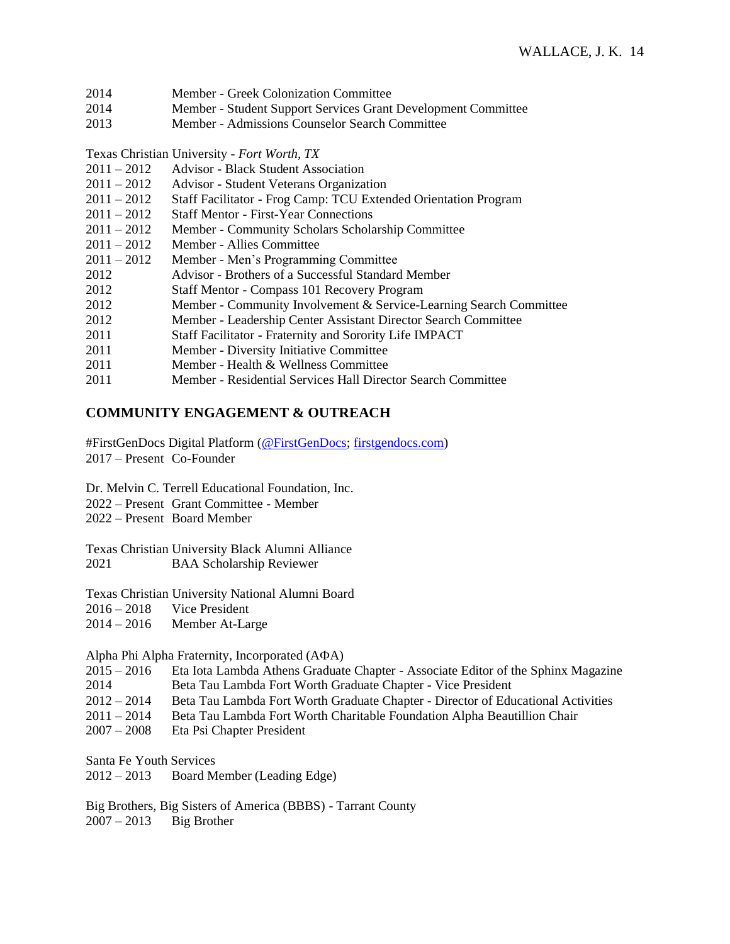- 2014 Member Greek Colonization Committee
- 2014 Member Student Support Services Grant Development Committee
- 2013 Member Admissions Counselor Search Committee

Texas Christian University - *Fort Worth, TX*

- 2011 2012 Advisor Black Student Association
- 2011 2012 Advisor Student Veterans Organization
- 2011 2012 Staff Facilitator Frog Camp: TCU Extended Orientation Program
- 2011 2012 Staff Mentor First-Year Connections
- 2011 2012 Member Community Scholars Scholarship Committee
- 2011 2012 Member Allies Committee
- 2011 2012 Member Men's Programming Committee
- 2012 Advisor Brothers of a Successful Standard Member
- 2012 Staff Mentor Compass 101 Recovery Program
- 2012 Member Community Involvement & Service-Learning Search Committee
- 2012 Member Leadership Center Assistant Director Search Committee
- 2011 Staff Facilitator Fraternity and Sorority Life IMPACT
- 2011 Member Diversity Initiative Committee
- 2011 Member Health & Wellness Committee
- 2011 Member Residential Services Hall Director Search Committee

## **COMMUNITY ENGAGEMENT & OUTREACH**

#FirstGenDocs Digital Platform [\(@FirstGenDocs;](https://twitter.com/firstgendocs) [firstgendocs.com\)](https://www.firstgendocs.com/) 2017 – Present Co-Founder

Dr. Melvin C. Terrell Educational Foundation, Inc.

2022 – Present Grant Committee - Member

2022 – Present Board Member

Texas Christian University Black Alumni Alliance 2021 BAA Scholarship Reviewer

Texas Christian University National Alumni Board

2016 – 2018 Vice President

2014 – 2016 Member At-Large

Alpha Phi Alpha Fraternity, Incorporated (A $\Phi$ A)

- 2015 2016 Eta Iota Lambda Athens Graduate Chapter Associate Editor of the Sphinx Magazine
- 2014 Beta Tau Lambda Fort Worth Graduate Chapter Vice President
- 2012 2014 Beta Tau Lambda Fort Worth Graduate Chapter Director of Educational Activities
- 2011 2014 Beta Tau Lambda Fort Worth Charitable Foundation Alpha Beautillion Chair
- Eta Psi Chapter President

Santa Fe Youth Services

2012 – 2013 Board Member (Leading Edge)

Big Brothers, Big Sisters of America (BBBS) - Tarrant County  $2007 - 2013$  Big Brother